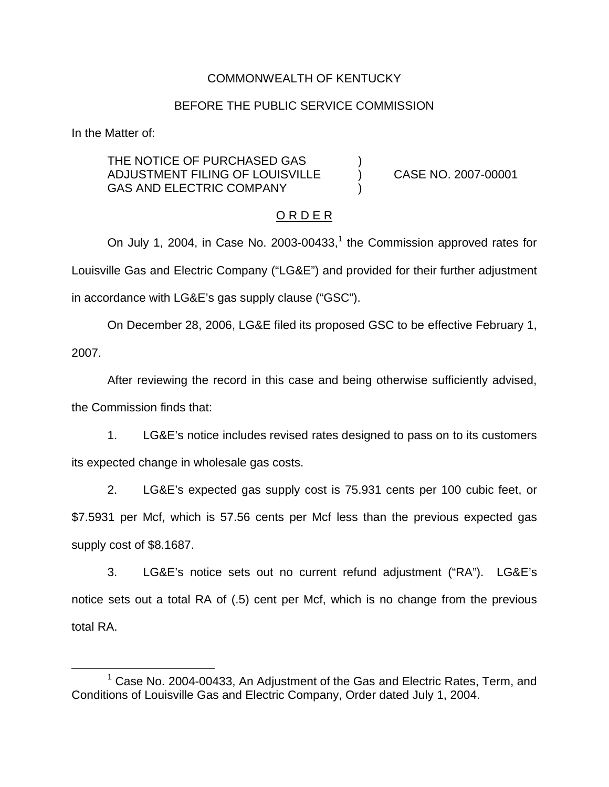## COMMONWEALTH OF KENTUCKY

#### BEFORE THE PUBLIC SERVICE COMMISSION

In the Matter of:

THE NOTICE OF PURCHASED GAS ADJUSTMENT FILING OF LOUISVILLE ) CASE NO. 2007-00001 GAS AND ELECTRIC COMPANY

### O R D E R

On July 1, 2004, in Case No. 2003-00433, $<sup>1</sup>$  the Commission approved rates for</sup> Louisville Gas and Electric Company ("LG&E") and provided for their further adjustment in accordance with LG&E's gas supply clause ("GSC").

On December 28, 2006, LG&E filed its proposed GSC to be effective February 1, 2007.

After reviewing the record in this case and being otherwise sufficiently advised, the Commission finds that:

1. LG&E's notice includes revised rates designed to pass on to its customers its expected change in wholesale gas costs.

2. LG&E's expected gas supply cost is 75.931 cents per 100 cubic feet, or \$7.5931 per Mcf, which is 57.56 cents per Mcf less than the previous expected gas supply cost of \$8.1687.

3. LG&E's notice sets out no current refund adjustment ("RA"). LG&E's notice sets out a total RA of (.5) cent per Mcf, which is no change from the previous total RA.

<sup>&</sup>lt;sup>1</sup> Case No. 2004-00433, An Adjustment of the Gas and Electric Rates, Term, and Conditions of Louisville Gas and Electric Company, Order dated July 1, 2004.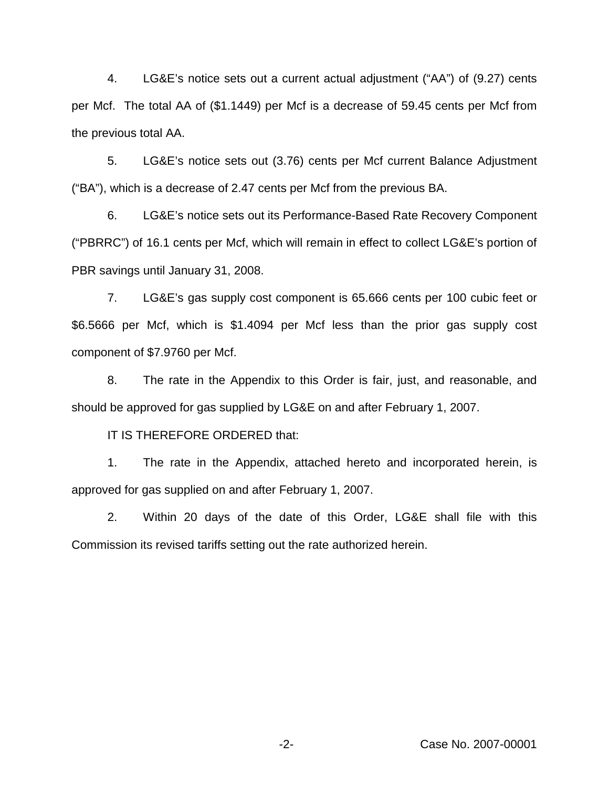4. LG&E's notice sets out a current actual adjustment ("AA") of (9.27) cents per Mcf. The total AA of (\$1.1449) per Mcf is a decrease of 59.45 cents per Mcf from the previous total AA.

5. LG&E's notice sets out (3.76) cents per Mcf current Balance Adjustment ("BA"), which is a decrease of 2.47 cents per Mcf from the previous BA.

6. LG&E's notice sets out its Performance-Based Rate Recovery Component ("PBRRC") of 16.1 cents per Mcf, which will remain in effect to collect LG&E's portion of PBR savings until January 31, 2008.

7. LG&E's gas supply cost component is 65.666 cents per 100 cubic feet or \$6.5666 per Mcf, which is \$1.4094 per Mcf less than the prior gas supply cost component of \$7.9760 per Mcf.

8. The rate in the Appendix to this Order is fair, just, and reasonable, and should be approved for gas supplied by LG&E on and after February 1, 2007.

IT IS THEREFORE ORDERED that:

1. The rate in the Appendix, attached hereto and incorporated herein, is approved for gas supplied on and after February 1, 2007.

2. Within 20 days of the date of this Order, LG&E shall file with this Commission its revised tariffs setting out the rate authorized herein.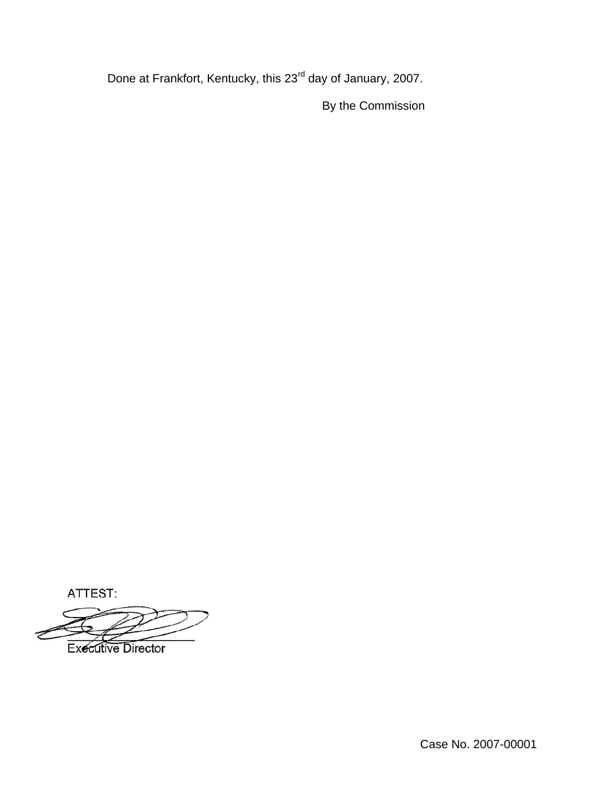Done at Frankfort, Kentucky, this 23<sup>rd</sup> day of January, 2007.

By the Commission

ATTEST:

**Executive Director** 

Case No. 2007-00001